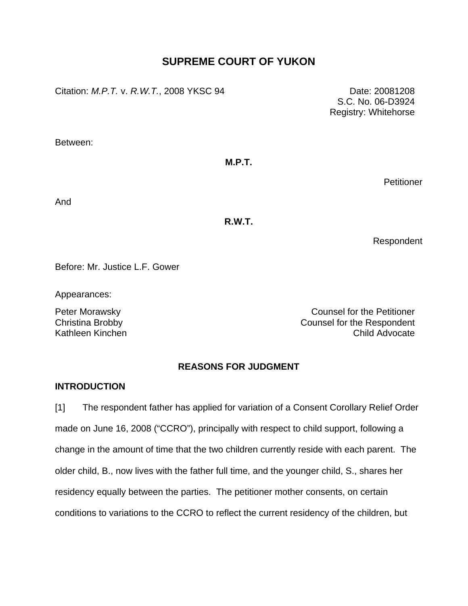# **SUPREME COURT OF YUKON**

Citation: *M.P.T. v. R.W.T.*, 2008 YKSC 94 Date: 20081208

Between:

## **M.P.T.**

**Petitioner** 

And

**R.W.T.** 

Respondent

Before: Mr. Justice L.F. Gower

Appearances:

Peter Morawsky **Counsel for the Petitioner** Christina Brobby Counsel for the Respondent Kathleen Kinchen Child Advocate

## **REASONS FOR JUDGMENT**

### **INTRODUCTION**

[1] The respondent father has applied for variation of a Consent Corollary Relief Order made on June 16, 2008 ("CCRO"), principally with respect to child support, following a change in the amount of time that the two children currently reside with each parent. The older child, B., now lives with the father full time, and the younger child, S., shares her residency equally between the parties. The petitioner mother consents, on certain conditions to variations to the CCRO to reflect the current residency of the children, but

 S.C. No. 06-D3924 Registry: Whitehorse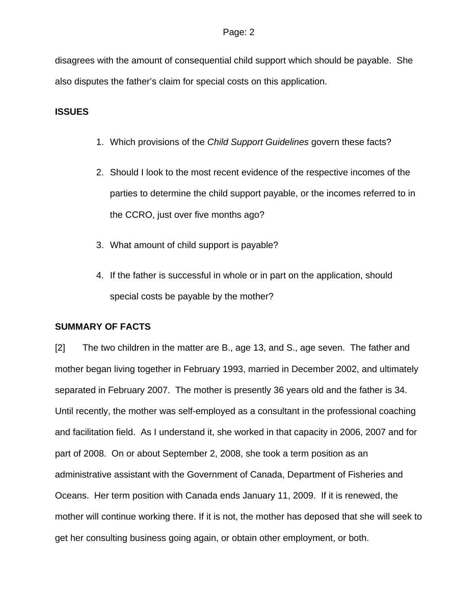disagrees with the amount of consequential child support which should be payable. She also disputes the father's claim for special costs on this application.

### **ISSUES**

- 1. Which provisions of the *Child Support Guidelines* govern these facts?
- 2. Should I look to the most recent evidence of the respective incomes of the parties to determine the child support payable, or the incomes referred to in the CCRO, just over five months ago?
- 3. What amount of child support is payable?
- 4. If the father is successful in whole or in part on the application, should special costs be payable by the mother?

### **SUMMARY OF FACTS**

[2] The two children in the matter are B., age 13, and S., age seven. The father and mother began living together in February 1993, married in December 2002, and ultimately separated in February 2007. The mother is presently 36 years old and the father is 34. Until recently, the mother was self-employed as a consultant in the professional coaching and facilitation field. As I understand it, she worked in that capacity in 2006, 2007 and for part of 2008. On or about September 2, 2008, she took a term position as an administrative assistant with the Government of Canada, Department of Fisheries and Oceans. Her term position with Canada ends January 11, 2009. If it is renewed, the mother will continue working there. If it is not, the mother has deposed that she will seek to get her consulting business going again, or obtain other employment, or both.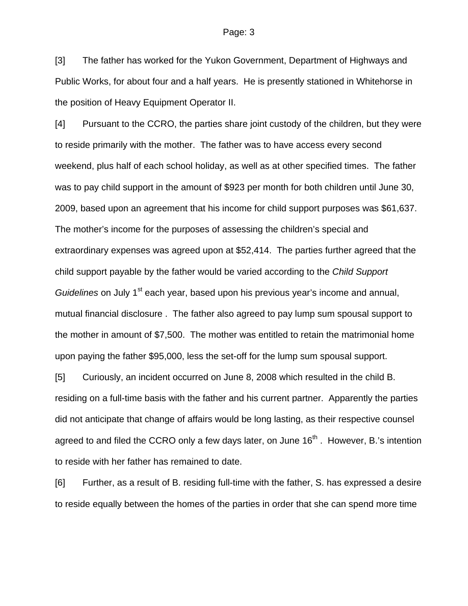[3] The father has worked for the Yukon Government, Department of Highways and Public Works, for about four and a half years. He is presently stationed in Whitehorse in the position of Heavy Equipment Operator II.

[4] Pursuant to the CCRO, the parties share joint custody of the children, but they were to reside primarily with the mother. The father was to have access every second weekend, plus half of each school holiday, as well as at other specified times. The father was to pay child support in the amount of \$923 per month for both children until June 30, 2009, based upon an agreement that his income for child support purposes was \$61,637. The mother's income for the purposes of assessing the children's special and extraordinary expenses was agreed upon at \$52,414. The parties further agreed that the child support payable by the father would be varied according to the *Child Support Guidelines* on July 1<sup>st</sup> each year, based upon his previous year's income and annual, mutual financial disclosure . The father also agreed to pay lump sum spousal support to the mother in amount of \$7,500. The mother was entitled to retain the matrimonial home upon paying the father \$95,000, less the set-off for the lump sum spousal support.

[5] Curiously, an incident occurred on June 8, 2008 which resulted in the child B. residing on a full-time basis with the father and his current partner. Apparently the parties did not anticipate that change of affairs would be long lasting, as their respective counsel agreed to and filed the CCRO only a few days later, on June  $16<sup>th</sup>$ . However, B.'s intention to reside with her father has remained to date.

[6] Further, as a result of B. residing full-time with the father, S. has expressed a desire to reside equally between the homes of the parties in order that she can spend more time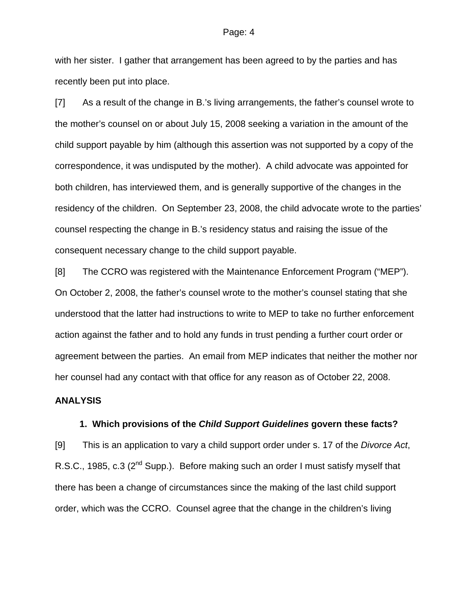with her sister. I gather that arrangement has been agreed to by the parties and has recently been put into place.

[7] As a result of the change in B.'s living arrangements, the father's counsel wrote to the mother's counsel on or about July 15, 2008 seeking a variation in the amount of the child support payable by him (although this assertion was not supported by a copy of the correspondence, it was undisputed by the mother). A child advocate was appointed for both children, has interviewed them, and is generally supportive of the changes in the residency of the children. On September 23, 2008, the child advocate wrote to the parties' counsel respecting the change in B.'s residency status and raising the issue of the consequent necessary change to the child support payable.

[8] The CCRO was registered with the Maintenance Enforcement Program ("MEP"). On October 2, 2008, the father's counsel wrote to the mother's counsel stating that she understood that the latter had instructions to write to MEP to take no further enforcement action against the father and to hold any funds in trust pending a further court order or agreement between the parties. An email from MEP indicates that neither the mother nor her counsel had any contact with that office for any reason as of October 22, 2008.

#### **ANALYSIS**

#### **1. Which provisions of the** *Child Support Guidelines* **govern these facts?**

[9] This is an application to vary a child support order under s. 17 of the *Divorce Act*, R.S.C., 1985, c.3 (2<sup>nd</sup> Supp.). Before making such an order I must satisfy myself that there has been a change of circumstances since the making of the last child support order, which was the CCRO. Counsel agree that the change in the children's living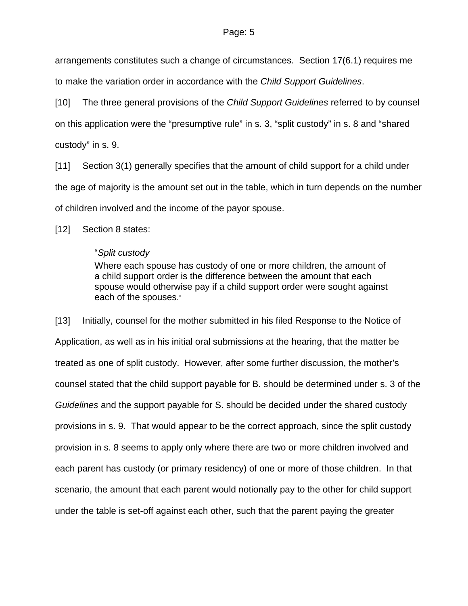arrangements constitutes such a change of circumstances. Section 17(6.1) requires me to make the variation order in accordance with the *Child Support Guidelines*.

[10] The three general provisions of the *Child Support Guidelines* referred to by counsel on this application were the "presumptive rule" in s. 3, "split custody" in s. 8 and "shared custody" in s. 9.

[11] Section 3(1) generally specifies that the amount of child support for a child under the age of majority is the amount set out in the table, which in turn depends on the number of children involved and the income of the payor spouse.

[12] Section 8 states:

## "*Split custody*

Where each spouse has custody of one or more children, the amount of a child support order is the difference between the amount that each spouse would otherwise pay if a child support order were sought against each of the spouses."

[13] Initially, counsel for the mother submitted in his filed Response to the Notice of Application, as well as in his initial oral submissions at the hearing, that the matter be treated as one of split custody. However, after some further discussion, the mother's counsel stated that the child support payable for B. should be determined under s. 3 of the *Guidelines* and the support payable for S. should be decided under the shared custody provisions in s. 9. That would appear to be the correct approach, since the split custody provision in s. 8 seems to apply only where there are two or more children involved and each parent has custody (or primary residency) of one or more of those children. In that scenario, the amount that each parent would notionally pay to the other for child support under the table is set-off against each other, such that the parent paying the greater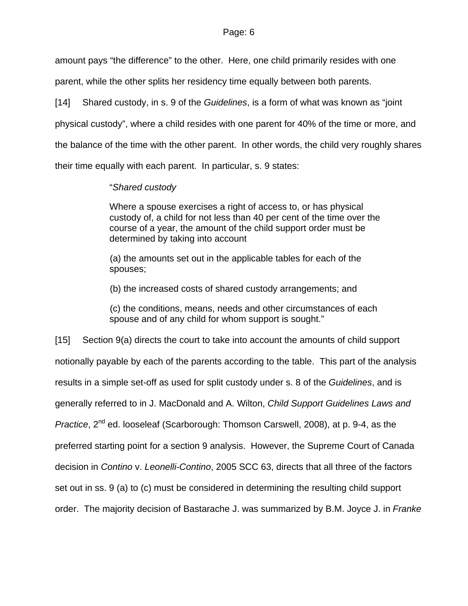amount pays "the difference" to the other. Here, one child primarily resides with one

parent, while the other splits her residency time equally between both parents.

[14] Shared custody, in s. 9 of the *Guidelines*, is a form of what was known as "joint

physical custody", where a child resides with one parent for 40% of the time or more, and

the balance of the time with the other parent. In other words, the child very roughly shares

their time equally with each parent. In particular, s. 9 states:

### "*Shared custody*

Where a spouse exercises a right of access to, or has physical custody of, a child for not less than 40 per cent of the time over the course of a year, the amount of the child support order must be determined by taking into account

 (a) the amounts set out in the applicable tables for each of the spouses;

(b) the increased costs of shared custody arrangements; and

 (c) the conditions, means, needs and other circumstances of each spouse and of any child for whom support is sought."

[15] Section 9(a) directs the court to take into account the amounts of child support notionally payable by each of the parents according to the table. This part of the analysis results in a simple set-off as used for split custody under s. 8 of the *Guidelines*, and is generally referred to in J. MacDonald and A. Wilton, *Child Support Guidelines Laws and Practice*. 2<sup>nd</sup> ed. looseleaf (Scarborough: Thomson Carswell, 2008), at p. 9-4, as the preferred starting point for a section 9 analysis. However, the Supreme Court of Canada decision in *Contino* v. *Leonelli-Contino*, 2005 SCC 63, directs that all three of the factors set out in ss. 9 (a) to (c) must be considered in determining the resulting child support order. The majority decision of Bastarache J. was summarized by B.M. Joyce J. in *Franke*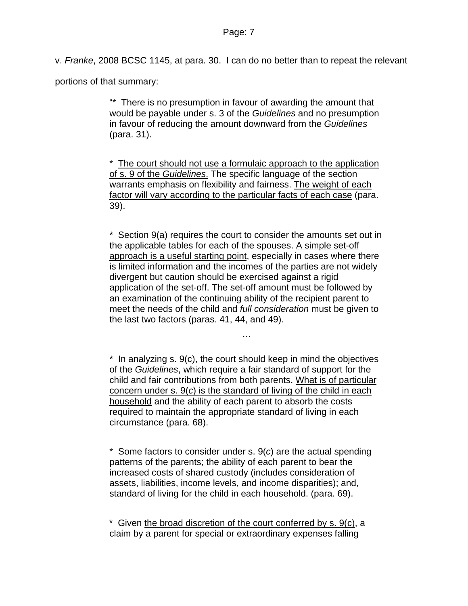v. *Franke*, 2008 BCSC 1145, at para. 30. I can do no better than to repeat the relevant

portions of that summary:

"\* There is no presumption in favour of awarding the amount that would be payable under s. 3 of the *Guidelines* and no presumption in favour of reducing the amount downward from the *Guidelines* (para. 31).

\* The court should not use a formulaic approach to the application of s. 9 of the *Guidelines*. The specific language of the section warrants emphasis on flexibility and fairness. The weight of each factor will vary according to the particular facts of each case (para. 39).

\* Section 9(a) requires the court to consider the amounts set out in the applicable tables for each of the spouses. A simple set-off approach is a useful starting point, especially in cases where there is limited information and the incomes of the parties are not widely divergent but caution should be exercised against a rigid application of the set-off. The set-off amount must be followed by an examination of the continuing ability of the recipient parent to meet the needs of the child and *full consideration* must be given to the last two factors (paras. 41, 44, and 49).

…

\* In analyzing s. 9(c), the court should keep in mind the objectives of the *Guidelines*, which require a fair standard of support for the child and fair contributions from both parents. What is of particular concern under s. 9(*c*) is the standard of living of the child in each household and the ability of each parent to absorb the costs required to maintain the appropriate standard of living in each circumstance (para. 68).

\* Some factors to consider under s. 9(*c*) are the actual spending patterns of the parents; the ability of each parent to bear the increased costs of shared custody (includes consideration of assets, liabilities, income levels, and income disparities); and, standard of living for the child in each household. (para. 69).

\* Given the broad discretion of the court conferred by s. 9(c), a claim by a parent for special or extraordinary expenses falling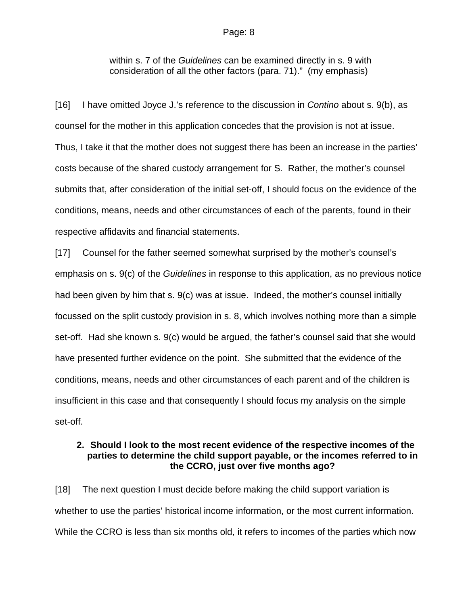within s. 7 of the *Guidelines* can be examined directly in s. 9 with consideration of all the other factors (para. 71)." (my emphasis)

[16] I have omitted Joyce J.'s reference to the discussion in *Contino* about s. 9(b), as counsel for the mother in this application concedes that the provision is not at issue. Thus, I take it that the mother does not suggest there has been an increase in the parties' costs because of the shared custody arrangement for S. Rather, the mother's counsel submits that, after consideration of the initial set-off, I should focus on the evidence of the conditions, means, needs and other circumstances of each of the parents, found in their respective affidavits and financial statements.

[17] Counsel for the father seemed somewhat surprised by the mother's counsel's emphasis on s. 9(c) of the *Guidelines* in response to this application, as no previous notice had been given by him that s. 9(c) was at issue. Indeed, the mother's counsel initially focussed on the split custody provision in s. 8, which involves nothing more than a simple set-off. Had she known s. 9(c) would be argued, the father's counsel said that she would have presented further evidence on the point. She submitted that the evidence of the conditions, means, needs and other circumstances of each parent and of the children is insufficient in this case and that consequently I should focus my analysis on the simple set-off.

### **2. Should I look to the most recent evidence of the respective incomes of the parties to determine the child support payable, or the incomes referred to in the CCRO, just over five months ago?**

[18] The next question I must decide before making the child support variation is whether to use the parties' historical income information, or the most current information. While the CCRO is less than six months old, it refers to incomes of the parties which now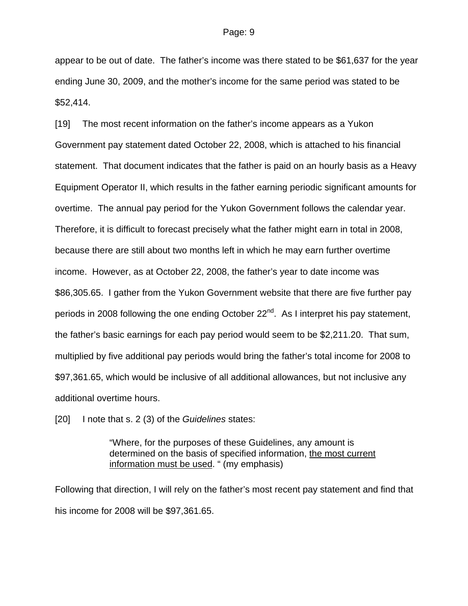appear to be out of date. The father's income was there stated to be \$61,637 for the year ending June 30, 2009, and the mother's income for the same period was stated to be \$52,414.

[19] The most recent information on the father's income appears as a Yukon Government pay statement dated October 22, 2008, which is attached to his financial statement. That document indicates that the father is paid on an hourly basis as a Heavy Equipment Operator II, which results in the father earning periodic significant amounts for overtime. The annual pay period for the Yukon Government follows the calendar year. Therefore, it is difficult to forecast precisely what the father might earn in total in 2008, because there are still about two months left in which he may earn further overtime income. However, as at October 22, 2008, the father's year to date income was \$86,305.65. I gather from the Yukon Government website that there are five further pay periods in 2008 following the one ending October  $22^{nd}$ . As I interpret his pay statement, the father's basic earnings for each pay period would seem to be \$2,211.20. That sum, multiplied by five additional pay periods would bring the father's total income for 2008 to \$97,361.65, which would be inclusive of all additional allowances, but not inclusive any additional overtime hours.

[20] I note that s. 2 (3) of the *Guidelines* states:

"Where, for the purposes of these Guidelines, any amount is determined on the basis of specified information, the most current information must be used. " (my emphasis)

Following that direction, I will rely on the father's most recent pay statement and find that his income for 2008 will be \$97,361.65.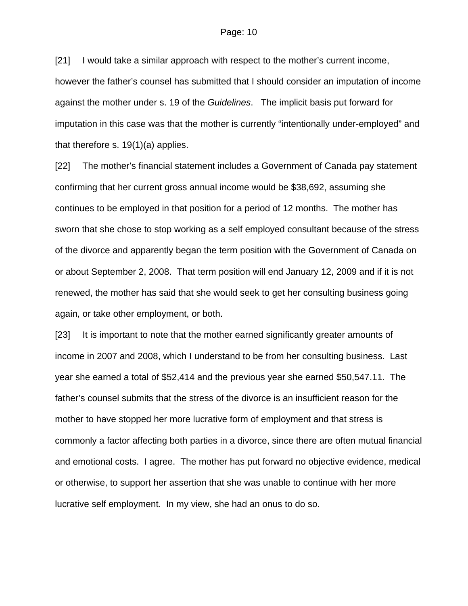[21] I would take a similar approach with respect to the mother's current income, however the father's counsel has submitted that I should consider an imputation of income against the mother under s. 19 of the *Guidelines*. The implicit basis put forward for imputation in this case was that the mother is currently "intentionally under-employed" and that therefore s. 19(1)(a) applies.

[22] The mother's financial statement includes a Government of Canada pay statement confirming that her current gross annual income would be \$38,692, assuming she continues to be employed in that position for a period of 12 months. The mother has sworn that she chose to stop working as a self employed consultant because of the stress of the divorce and apparently began the term position with the Government of Canada on or about September 2, 2008. That term position will end January 12, 2009 and if it is not renewed, the mother has said that she would seek to get her consulting business going again, or take other employment, or both.

[23] It is important to note that the mother earned significantly greater amounts of income in 2007 and 2008, which I understand to be from her consulting business. Last year she earned a total of \$52,414 and the previous year she earned \$50,547.11. The father's counsel submits that the stress of the divorce is an insufficient reason for the mother to have stopped her more lucrative form of employment and that stress is commonly a factor affecting both parties in a divorce, since there are often mutual financial and emotional costs. I agree. The mother has put forward no objective evidence, medical or otherwise, to support her assertion that she was unable to continue with her more lucrative self employment. In my view, she had an onus to do so.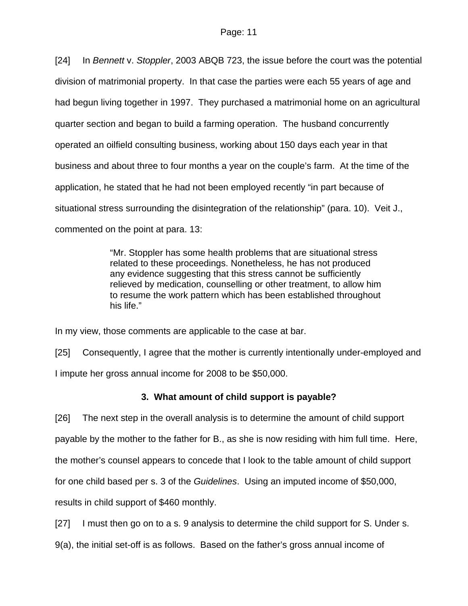[24] In *Bennett* v. *Stoppler*, 2003 ABQB 723, the issue before the court was the potential division of matrimonial property. In that case the parties were each 55 years of age and had begun living together in 1997. They purchased a matrimonial home on an agricultural quarter section and began to build a farming operation. The husband concurrently operated an oilfield consulting business, working about 150 days each year in that business and about three to four months a year on the couple's farm. At the time of the application, he stated that he had not been employed recently "in part because of situational stress surrounding the disintegration of the relationship" (para. 10). Veit J., commented on the point at para. 13:

> "Mr. Stoppler has some health problems that are situational stress related to these proceedings. Nonetheless, he has not produced any evidence suggesting that this stress cannot be sufficiently relieved by medication, counselling or other treatment, to allow him to resume the work pattern which has been established throughout his life."

In my view, those comments are applicable to the case at bar.

[25] Consequently, I agree that the mother is currently intentionally under-employed and I impute her gross annual income for 2008 to be \$50,000.

## **3. What amount of child support is payable?**

[26] The next step in the overall analysis is to determine the amount of child support payable by the mother to the father for B., as she is now residing with him full time. Here, the mother's counsel appears to concede that I look to the table amount of child support for one child based per s. 3 of the *Guidelines*. Using an imputed income of \$50,000, results in child support of \$460 monthly.

[27] I must then go on to a s. 9 analysis to determine the child support for S. Under s.

9(a), the initial set-off is as follows. Based on the father's gross annual income of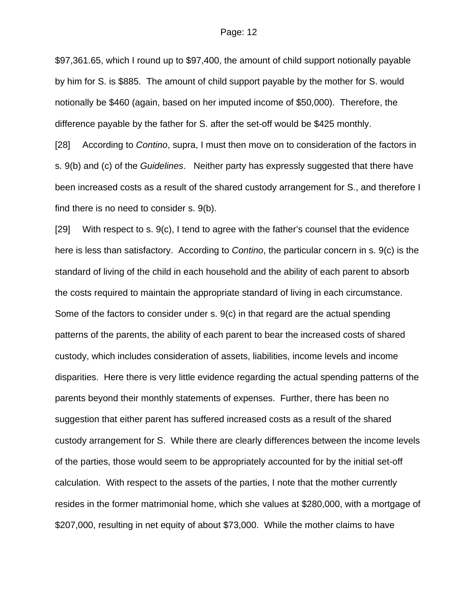\$97,361.65, which I round up to \$97,400, the amount of child support notionally payable by him for S. is \$885. The amount of child support payable by the mother for S. would notionally be \$460 (again, based on her imputed income of \$50,000). Therefore, the difference payable by the father for S. after the set-off would be \$425 monthly.

[28] According to *Contino*, supra, I must then move on to consideration of the factors in s. 9(b) and (c) of the *Guidelines*. Neither party has expressly suggested that there have been increased costs as a result of the shared custody arrangement for S., and therefore I find there is no need to consider s. 9(b).

[29] With respect to s. 9(c), I tend to agree with the father's counsel that the evidence here is less than satisfactory. According to *Contino*, the particular concern in s. 9(c) is the standard of living of the child in each household and the ability of each parent to absorb the costs required to maintain the appropriate standard of living in each circumstance. Some of the factors to consider under s. 9(c) in that regard are the actual spending patterns of the parents, the ability of each parent to bear the increased costs of shared custody, which includes consideration of assets, liabilities, income levels and income disparities. Here there is very little evidence regarding the actual spending patterns of the parents beyond their monthly statements of expenses. Further, there has been no suggestion that either parent has suffered increased costs as a result of the shared custody arrangement for S. While there are clearly differences between the income levels of the parties, those would seem to be appropriately accounted for by the initial set-off calculation. With respect to the assets of the parties, I note that the mother currently resides in the former matrimonial home, which she values at \$280,000, with a mortgage of \$207,000, resulting in net equity of about \$73,000. While the mother claims to have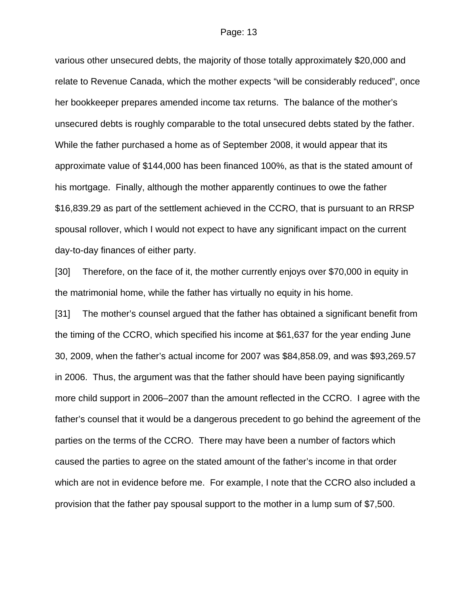various other unsecured debts, the majority of those totally approximately \$20,000 and relate to Revenue Canada, which the mother expects "will be considerably reduced", once her bookkeeper prepares amended income tax returns. The balance of the mother's unsecured debts is roughly comparable to the total unsecured debts stated by the father. While the father purchased a home as of September 2008, it would appear that its approximate value of \$144,000 has been financed 100%, as that is the stated amount of his mortgage. Finally, although the mother apparently continues to owe the father \$16,839.29 as part of the settlement achieved in the CCRO, that is pursuant to an RRSP spousal rollover, which I would not expect to have any significant impact on the current day-to-day finances of either party.

[30] Therefore, on the face of it, the mother currently enjoys over \$70,000 in equity in the matrimonial home, while the father has virtually no equity in his home.

[31] The mother's counsel argued that the father has obtained a significant benefit from the timing of the CCRO, which specified his income at \$61,637 for the year ending June 30, 2009, when the father's actual income for 2007 was \$84,858.09, and was \$93,269.57 in 2006. Thus, the argument was that the father should have been paying significantly more child support in 2006–2007 than the amount reflected in the CCRO. I agree with the father's counsel that it would be a dangerous precedent to go behind the agreement of the parties on the terms of the CCRO. There may have been a number of factors which caused the parties to agree on the stated amount of the father's income in that order which are not in evidence before me. For example, I note that the CCRO also included a provision that the father pay spousal support to the mother in a lump sum of \$7,500.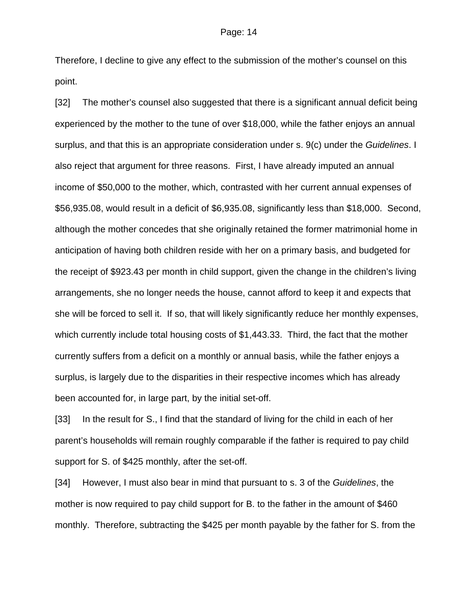Therefore, I decline to give any effect to the submission of the mother's counsel on this point.

[32] The mother's counsel also suggested that there is a significant annual deficit being experienced by the mother to the tune of over \$18,000, while the father enjoys an annual surplus, and that this is an appropriate consideration under s. 9(c) under the *Guidelines*. I also reject that argument for three reasons. First, I have already imputed an annual income of \$50,000 to the mother, which, contrasted with her current annual expenses of \$56,935.08, would result in a deficit of \$6,935.08, significantly less than \$18,000. Second, although the mother concedes that she originally retained the former matrimonial home in anticipation of having both children reside with her on a primary basis, and budgeted for the receipt of \$923.43 per month in child support, given the change in the children's living arrangements, she no longer needs the house, cannot afford to keep it and expects that she will be forced to sell it. If so, that will likely significantly reduce her monthly expenses, which currently include total housing costs of \$1,443.33. Third, the fact that the mother currently suffers from a deficit on a monthly or annual basis, while the father enjoys a surplus, is largely due to the disparities in their respective incomes which has already been accounted for, in large part, by the initial set-off.

[33] In the result for S., I find that the standard of living for the child in each of her parent's households will remain roughly comparable if the father is required to pay child support for S. of \$425 monthly, after the set-off.

[34] However, I must also bear in mind that pursuant to s. 3 of the *Guidelines*, the mother is now required to pay child support for B. to the father in the amount of \$460 monthly. Therefore, subtracting the \$425 per month payable by the father for S. from the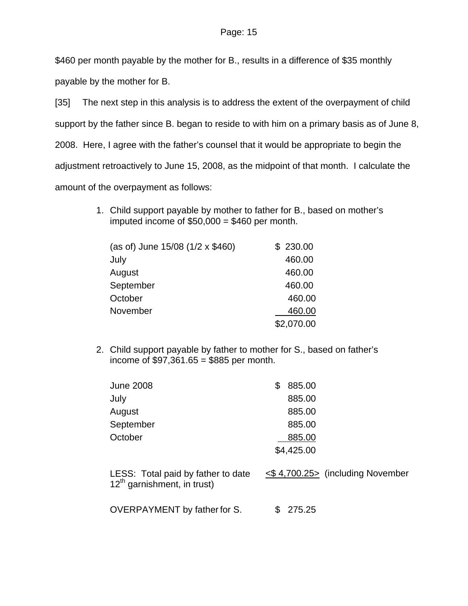\$460 per month payable by the mother for B., results in a difference of \$35 monthly

payable by the mother for B.

[35] The next step in this analysis is to address the extent of the overpayment of child support by the father since B. began to reside to with him on a primary basis as of June 8, 2008. Here, I agree with the father's counsel that it would be appropriate to begin the adjustment retroactively to June 15, 2008, as the midpoint of that month. I calculate the amount of the overpayment as follows:

> 1. Child support payable by mother to father for B., based on mother's imputed income of  $$50,000 = $460$  per month.

| (as of) June 15/08 (1/2 x \$460) | \$230.00   |
|----------------------------------|------------|
| July                             | 460.00     |
| August                           | 460.00     |
| September                        | 460.00     |
| October                          | 460.00     |
| November                         | 460.00     |
|                                  | \$2,070.00 |

2. Child support payable by father to mother for S., based on father's income of  $$97,361.65 = $885$  per month.

| <b>June 2008</b> | 885.00     |
|------------------|------------|
| July             | 885.00     |
| August           | 885.00     |
| September        | 885.00     |
| October          | 885.00     |
|                  | \$4,425.00 |
|                  |            |

LESS: Total paid by father to date  $\leq$ \$4,700.25> (including November  $12<sup>th</sup>$  garnishment, in trust)

OVERPAYMENT by father for S. \$275.25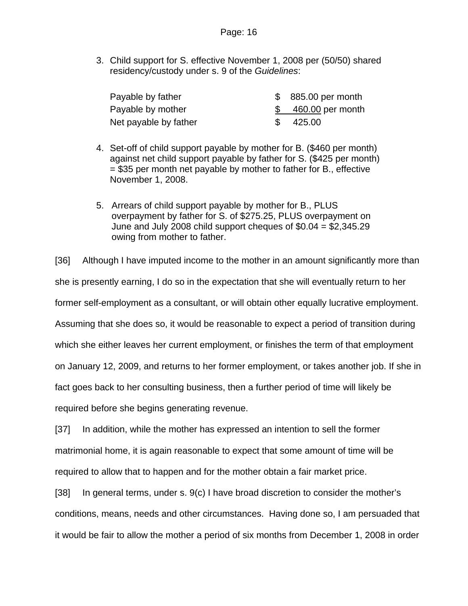3. Child support for S. effective November 1, 2008 per (50/50) shared residency/custody under s. 9 of the *Guidelines*:

| Payable by father     | \$ 885.00 per month  |
|-----------------------|----------------------|
| Payable by mother     | $$ 460.00$ per month |
| Net payable by father | 425.00               |

- 4. Set-off of child support payable by mother for B. (\$460 per month) against net child support payable by father for S. (\$425 per month) = \$35 per month net payable by mother to father for B., effective November 1, 2008.
- 5. Arrears of child support payable by mother for B., PLUS overpayment by father for S. of \$275.25, PLUS overpayment on June and July 2008 child support cheques of \$0.04 = \$2,345.29 owing from mother to father.

[36] Although I have imputed income to the mother in an amount significantly more than she is presently earning, I do so in the expectation that she will eventually return to her former self-employment as a consultant, or will obtain other equally lucrative employment. Assuming that she does so, it would be reasonable to expect a period of transition during which she either leaves her current employment, or finishes the term of that employment on January 12, 2009, and returns to her former employment, or takes another job. If she in fact goes back to her consulting business, then a further period of time will likely be required before she begins generating revenue.

[37] In addition, while the mother has expressed an intention to sell the former matrimonial home, it is again reasonable to expect that some amount of time will be required to allow that to happen and for the mother obtain a fair market price.

[38] In general terms, under s. 9(c) I have broad discretion to consider the mother's conditions, means, needs and other circumstances. Having done so, I am persuaded that it would be fair to allow the mother a period of six months from December 1, 2008 in order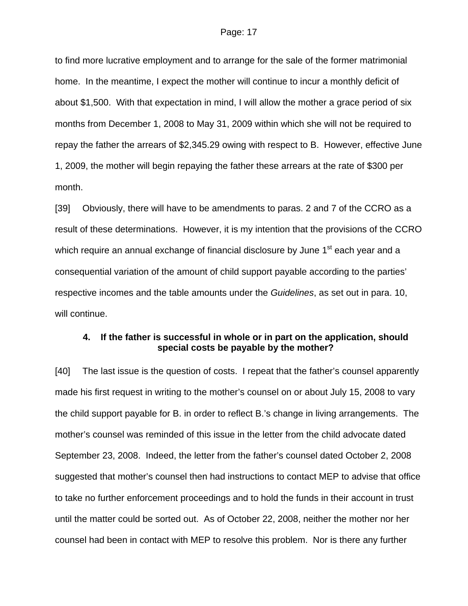to find more lucrative employment and to arrange for the sale of the former matrimonial home. In the meantime, I expect the mother will continue to incur a monthly deficit of about \$1,500. With that expectation in mind, I will allow the mother a grace period of six months from December 1, 2008 to May 31, 2009 within which she will not be required to repay the father the arrears of \$2,345.29 owing with respect to B. However, effective June 1, 2009, the mother will begin repaying the father these arrears at the rate of \$300 per month.

[39] Obviously, there will have to be amendments to paras. 2 and 7 of the CCRO as a result of these determinations. However, it is my intention that the provisions of the CCRO which require an annual exchange of financial disclosure by June  $1<sup>st</sup>$  each year and a consequential variation of the amount of child support payable according to the parties' respective incomes and the table amounts under the *Guidelines*, as set out in para. 10, will continue.

## **4. If the father is successful in whole or in part on the application, should special costs be payable by the mother?**

[40] The last issue is the question of costs. I repeat that the father's counsel apparently made his first request in writing to the mother's counsel on or about July 15, 2008 to vary the child support payable for B. in order to reflect B.'s change in living arrangements. The mother's counsel was reminded of this issue in the letter from the child advocate dated September 23, 2008. Indeed, the letter from the father's counsel dated October 2, 2008 suggested that mother's counsel then had instructions to contact MEP to advise that office to take no further enforcement proceedings and to hold the funds in their account in trust until the matter could be sorted out. As of October 22, 2008, neither the mother nor her counsel had been in contact with MEP to resolve this problem. Nor is there any further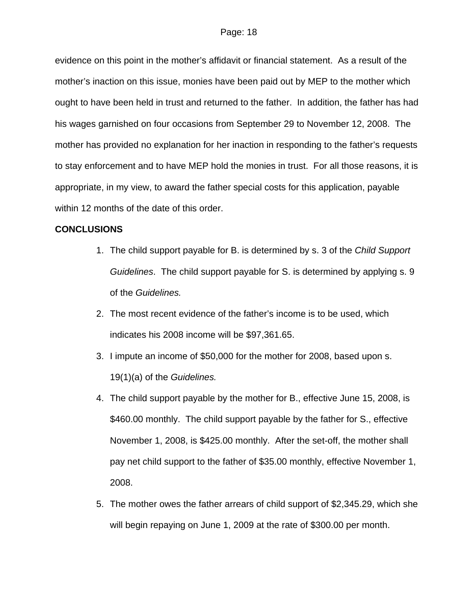evidence on this point in the mother's affidavit or financial statement. As a result of the mother's inaction on this issue, monies have been paid out by MEP to the mother which ought to have been held in trust and returned to the father. In addition, the father has had his wages garnished on four occasions from September 29 to November 12, 2008. The mother has provided no explanation for her inaction in responding to the father's requests to stay enforcement and to have MEP hold the monies in trust. For all those reasons, it is appropriate, in my view, to award the father special costs for this application, payable within 12 months of the date of this order.

#### **CONCLUSIONS**

- 1. The child support payable for B. is determined by s. 3 of the *Child Support Guidelines*. The child support payable for S. is determined by applying s. 9 of the *Guidelines.*
- 2. The most recent evidence of the father's income is to be used, which indicates his 2008 income will be \$97,361.65.
- 3. I impute an income of \$50,000 for the mother for 2008, based upon s. 19(1)(a) of the *Guidelines.*
- 4. The child support payable by the mother for B., effective June 15, 2008, is \$460.00 monthly. The child support payable by the father for S., effective November 1, 2008, is \$425.00 monthly. After the set-off, the mother shall pay net child support to the father of \$35.00 monthly, effective November 1, 2008.
- 5. The mother owes the father arrears of child support of \$2,345.29, which she will begin repaying on June 1, 2009 at the rate of \$300.00 per month.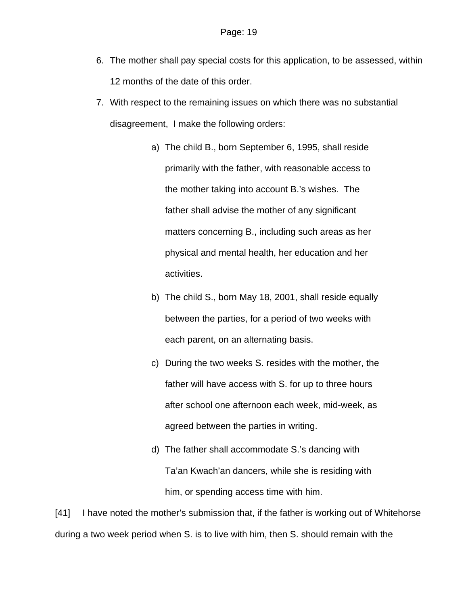- 6. The mother shall pay special costs for this application, to be assessed, within 12 months of the date of this order.
- 7. With respect to the remaining issues on which there was no substantial disagreement, I make the following orders:
	- a) The child B., born September 6, 1995, shall reside primarily with the father, with reasonable access to the mother taking into account B.'s wishes. The father shall advise the mother of any significant matters concerning B., including such areas as her physical and mental health, her education and her activities.
	- b) The child S., born May 18, 2001, shall reside equally between the parties, for a period of two weeks with each parent, on an alternating basis.
	- c) During the two weeks S. resides with the mother, the father will have access with S. for up to three hours after school one afternoon each week, mid-week, as agreed between the parties in writing.
	- d) The father shall accommodate S.'s dancing with Ta'an Kwach'an dancers, while she is residing with him, or spending access time with him.

[41] I have noted the mother's submission that, if the father is working out of Whitehorse during a two week period when S. is to live with him, then S. should remain with the